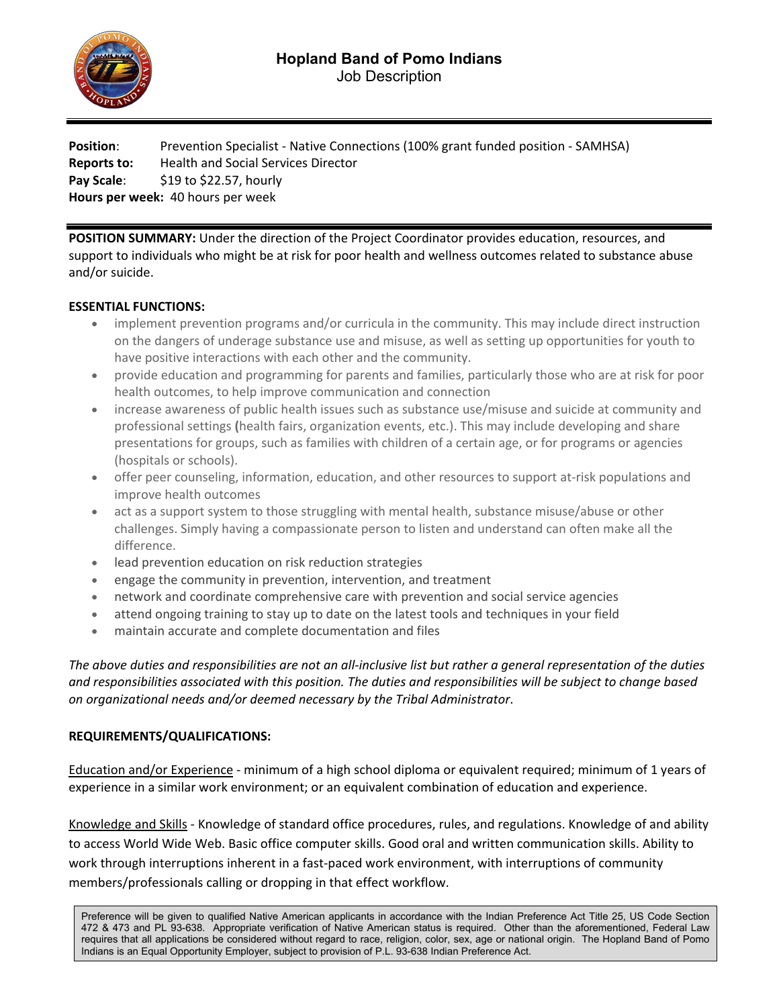

**Position**: Prevention Specialist - Native Connections (100% grant funded position - SAMHSA) **Reports to:** Health and Social Services Director **Pay Scale:** \$19 to \$22.57, hourly **Hours per week:** 40 hours per week

**POSITION SUMMARY:** Under the direction of the Project Coordinator provides education, resources, and support to individuals who might be at risk for poor health and wellness outcomes related to substance abuse and/or suicide.

## **ESSENTIAL FUNCTIONS:**

- implement prevention programs and/or curricula in the community. This may include direct instruction on the dangers of underage substance use and misuse, as well as setting up opportunities for youth to have positive interactions with each other and the community.
- provide education and programming for parents and families, particularly those who are at risk for poor health outcomes, to help improve communication and connection
- increase awareness of public health issues such as substance use/misuse and suicide at community and professional settings **(**health fairs, organization events, etc.). This may include developing and share presentations for groups, such as families with children of a certain age, or for programs or agencies (hospitals or schools).
- offer peer counseling, information, education, and other resources to support at-risk populations and improve health outcomes
- act as a support system to those struggling with mental health, substance misuse/abuse or other challenges. Simply having a compassionate person to listen and understand can often make all the difference.
- lead prevention education on risk reduction strategies
- engage the community in prevention, intervention, and treatment
- network and coordinate comprehensive care with prevention and social service agencies
- attend ongoing training to stay up to date on the latest tools and techniques in your field
- maintain accurate and complete documentation and files

*The above duties and responsibilities are not an all-inclusive list but rather a general representation of the duties and responsibilities associated with this position. The duties and responsibilities will be subject to change based on organizational needs and/or deemed necessary by the Tribal Administrator*.

## **REQUIREMENTS/QUALIFICATIONS:**

Education and/or Experience - minimum of a high school diploma or equivalent required; minimum of 1 years of experience in a similar work environment; or an equivalent combination of education and experience.

Knowledge and Skills - Knowledge of standard office procedures, rules, and regulations. Knowledge of and ability to access World Wide Web. Basic office computer skills. Good oral and written communication skills. Ability to work through interruptions inherent in a fast-paced work environment, with interruptions of community members/professionals calling or dropping in that effect workflow.

Preference will be given to qualified Native American applicants in accordance with the Indian Preference Act Title 25, US Code Section 472 & 473 and PL 93-638. Appropriate verification of Native American status is required. Other than the aforementioned, Federal Law requires that all applications be considered without regard to race, religion, color, sex, age or national origin. The Hopland Band of Pomo Indians is an Equal Opportunity Employer, subject to provision of P.L. 93-638 Indian Preference Act.